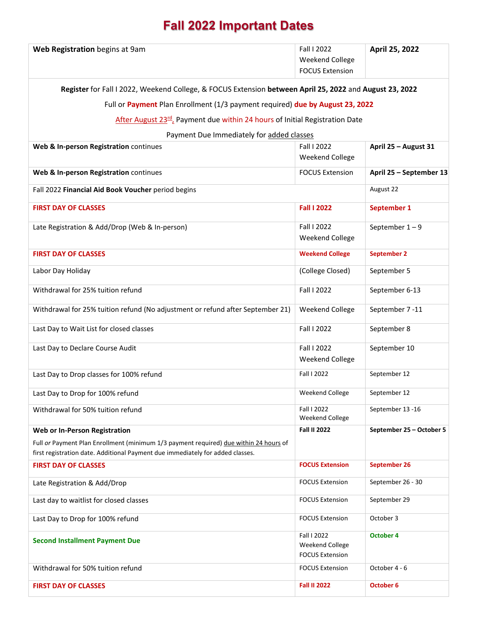## **Fall 2022 Important Dates**

| Web Registration begins at 9am                                                                                                                                          | Fall I 2022<br>Weekend College<br><b>FOCUS Extension</b> | April 25, 2022           |  |
|-------------------------------------------------------------------------------------------------------------------------------------------------------------------------|----------------------------------------------------------|--------------------------|--|
| Register for Fall I 2022, Weekend College, & FOCUS Extension between April 25, 2022 and August 23, 2022                                                                 |                                                          |                          |  |
| Full or Payment Plan Enrollment (1/3 payment required) due by August 23, 2022                                                                                           |                                                          |                          |  |
| After August 23rd, Payment due within 24 hours of Initial Registration Date                                                                                             |                                                          |                          |  |
| Payment Due Immediately for added classes                                                                                                                               |                                                          |                          |  |
| Web & In-person Registration continues                                                                                                                                  | Fall I 2022                                              | April 25 - August 31     |  |
|                                                                                                                                                                         | Weekend College                                          |                          |  |
| Web & In-person Registration continues                                                                                                                                  | <b>FOCUS Extension</b>                                   | April 25 - September 13  |  |
| Fall 2022 Financial Aid Book Voucher period begins                                                                                                                      |                                                          | August 22                |  |
| <b>FIRST DAY OF CLASSES</b>                                                                                                                                             | <b>Fall I 2022</b>                                       | September 1              |  |
| Late Registration & Add/Drop (Web & In-person)                                                                                                                          | Fall I 2022                                              | September $1-9$          |  |
|                                                                                                                                                                         | Weekend College                                          |                          |  |
| <b>FIRST DAY OF CLASSES</b>                                                                                                                                             | <b>Weekend College</b>                                   | <b>September 2</b>       |  |
| Labor Day Holiday                                                                                                                                                       | (College Closed)                                         | September 5              |  |
| Withdrawal for 25% tuition refund                                                                                                                                       | Fall I 2022                                              | September 6-13           |  |
| Withdrawal for 25% tuition refund (No adjustment or refund after September 21)                                                                                          | Weekend College                                          | September 7-11           |  |
| Last Day to Wait List for closed classes                                                                                                                                | Fall I 2022                                              | September 8              |  |
| Last Day to Declare Course Audit                                                                                                                                        | Fall I 2022<br>Weekend College                           | September 10             |  |
| Last Day to Drop classes for 100% refund                                                                                                                                | Fall I 2022                                              | September 12             |  |
| Last Day to Drop for 100% refund                                                                                                                                        | Weekend College                                          | September 12             |  |
| Withdrawal for 50% tuition refund                                                                                                                                       | Fall I 2022<br>Weekend College                           | September 13 -16         |  |
| <b>Web or In-Person Registration</b>                                                                                                                                    | <b>Fall II 2022</b>                                      | September 25 - October 5 |  |
| Full or Payment Plan Enrollment (minimum 1/3 payment required) due within 24 hours of<br>first registration date. Additional Payment due immediately for added classes. |                                                          |                          |  |
| <b>FIRST DAY OF CLASSES</b>                                                                                                                                             | <b>FOCUS Extension</b>                                   | September 26             |  |
| Late Registration & Add/Drop                                                                                                                                            | <b>FOCUS Extension</b>                                   | September 26 - 30        |  |
| Last day to waitlist for closed classes                                                                                                                                 | <b>FOCUS Extension</b>                                   | September 29             |  |
| Last Day to Drop for 100% refund                                                                                                                                        | <b>FOCUS Extension</b>                                   | October 3                |  |
| <b>Second Installment Payment Due</b>                                                                                                                                   | Fall I 2022<br>Weekend College<br><b>FOCUS Extension</b> | October 4                |  |
| Withdrawal for 50% tuition refund                                                                                                                                       | <b>FOCUS Extension</b>                                   | October 4 - 6            |  |
| <b>FIRST DAY OF CLASSES</b>                                                                                                                                             | <b>Fall II 2022</b>                                      | October 6                |  |